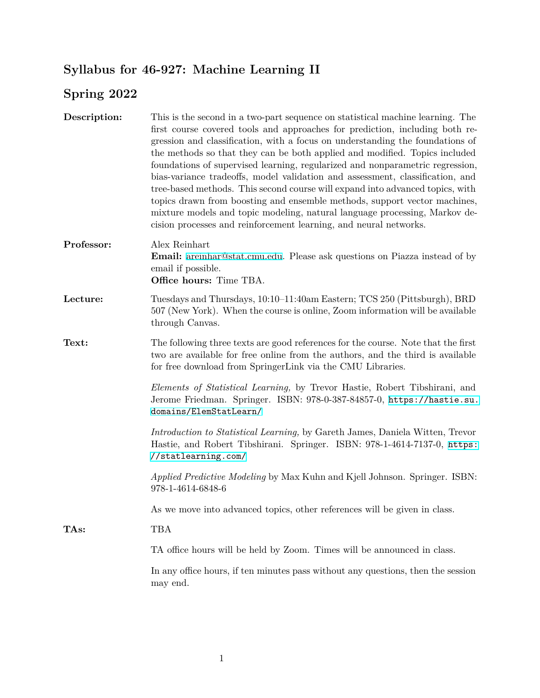## **Syllabus for 46-927: Machine Learning II**

## **Spring 2022**

| Description: | This is the second in a two-part sequence on statistical machine learning. The<br>first course covered tools and approaches for prediction, including both re-<br>gression and classification, with a focus on understanding the foundations of<br>the methods so that they can be both applied and modified. Topics included<br>foundations of supervised learning, regularized and nonparametric regression,<br>bias-variance tradeoffs, model validation and assessment, classification, and<br>tree-based methods. This second course will expand into advanced topics, with<br>topics drawn from boosting and ensemble methods, support vector machines,<br>mixture models and topic modeling, natural language processing, Markov de-<br>cision processes and reinforcement learning, and neural networks. |
|--------------|------------------------------------------------------------------------------------------------------------------------------------------------------------------------------------------------------------------------------------------------------------------------------------------------------------------------------------------------------------------------------------------------------------------------------------------------------------------------------------------------------------------------------------------------------------------------------------------------------------------------------------------------------------------------------------------------------------------------------------------------------------------------------------------------------------------|
| Professor:   | Alex Reinhart<br>Email: areinhar@stat.cmu.edu. Please ask questions on Piazza instead of by<br>email if possible.<br>Office hours: Time TBA.                                                                                                                                                                                                                                                                                                                                                                                                                                                                                                                                                                                                                                                                     |
| Lecture:     | Tuesdays and Thursdays, 10:10–11:40am Eastern; TCS 250 (Pittsburgh), BRD<br>507 (New York). When the course is online, Zoom information will be available<br>through Canvas.                                                                                                                                                                                                                                                                                                                                                                                                                                                                                                                                                                                                                                     |
| Text:        | The following three texts are good references for the course. Note that the first<br>two are available for free online from the authors, and the third is available<br>for free download from SpringerLink via the CMU Libraries.                                                                                                                                                                                                                                                                                                                                                                                                                                                                                                                                                                                |
|              | Elements of Statistical Learning, by Trevor Hastie, Robert Tibshirani, and<br>Jerome Friedman. Springer. ISBN: 978-0-387-84857-0, https://hastie.su.<br>domains/ElemStatLearn/                                                                                                                                                                                                                                                                                                                                                                                                                                                                                                                                                                                                                                   |
|              | Introduction to Statistical Learning, by Gareth James, Daniela Witten, Trevor<br>Hastie, and Robert Tibshirani. Springer. ISBN: 978-1-4614-7137-0, https:<br>//statlearning.com/                                                                                                                                                                                                                                                                                                                                                                                                                                                                                                                                                                                                                                 |
|              | Applied Predictive Modeling by Max Kuhn and Kjell Johnson. Springer. ISBN:<br>978-1-4614-6848-6                                                                                                                                                                                                                                                                                                                                                                                                                                                                                                                                                                                                                                                                                                                  |
|              | As we move into advanced topics, other references will be given in class.                                                                                                                                                                                                                                                                                                                                                                                                                                                                                                                                                                                                                                                                                                                                        |
| TAs:         | <b>TBA</b>                                                                                                                                                                                                                                                                                                                                                                                                                                                                                                                                                                                                                                                                                                                                                                                                       |
|              | TA office hours will be held by Zoom. Times will be announced in class.                                                                                                                                                                                                                                                                                                                                                                                                                                                                                                                                                                                                                                                                                                                                          |
|              | In any office hours, if ten minutes pass without any questions, then the session<br>may end.                                                                                                                                                                                                                                                                                                                                                                                                                                                                                                                                                                                                                                                                                                                     |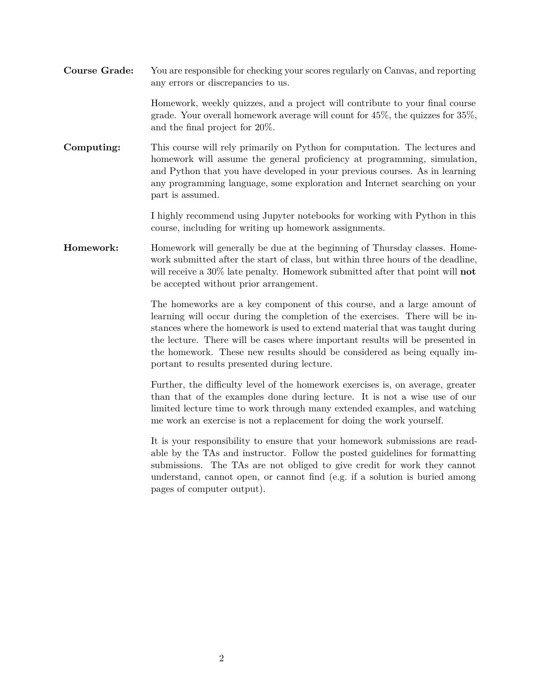**Course Grade:** You are responsible for checking your scores regularly on Canvas, and reporting any errors or discrepancies to us.

> Homework, weekly quizzes, and a project will contribute to your final course grade. Your overall homework average will count for 45%, the quizzes for 35%, and the final project for 20%.

**Computing:** This course will rely primarily on Python for computation. The lectures and homework will assume the general proficiency at programming, simulation, and Python that you have developed in your previous courses. As in learning any programming language, some exploration and Internet searching on your part is assumed.

> I highly recommend using Jupyter notebooks for working with Python in this course, including for writing up homework assignments.

**Homework:** Homework will generally be due at the beginning of Thursday classes. Homework submitted after the start of class, but within three hours of the deadline, will receive a 30% late penalty. Homework submitted after that point will **not** be accepted without prior arrangement.

> The homeworks are a key component of this course, and a large amount of learning will occur during the completion of the exercises. There will be instances where the homework is used to extend material that was taught during the lecture. There will be cases where important results will be presented in the homework. These new results should be considered as being equally important to results presented during lecture.

> Further, the difficulty level of the homework exercises is, on average, greater than that of the examples done during lecture. It is not a wise use of our limited lecture time to work through many extended examples, and watching me work an exercise is not a replacement for doing the work yourself.

> It is your responsibility to ensure that your homework submissions are readable by the TAs and instructor. Follow the posted guidelines for formatting submissions. The TAs are not obliged to give credit for work they cannot understand, cannot open, or cannot find (e.g. if a solution is buried among pages of computer output).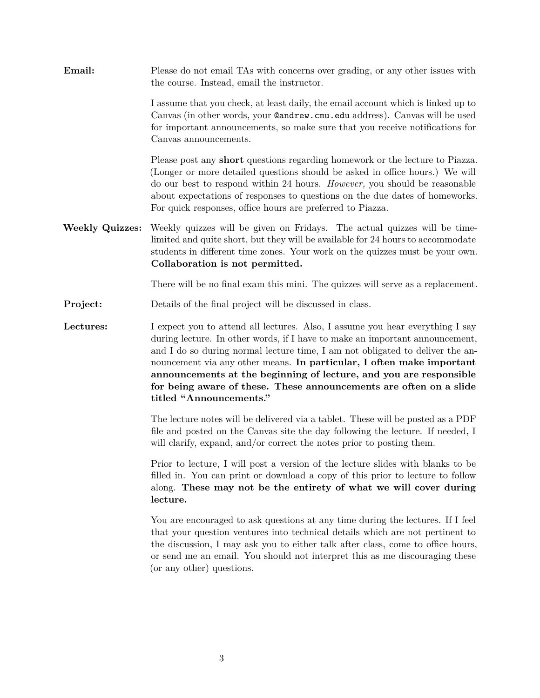**Email:** Please do not email TAs with concerns over grading, or any other issues with the course. Instead, email the instructor. I assume that you check, at least daily, the email account which is linked up to Canvas (in other words, your @andrew.cmu.edu address). Canvas will be used for important announcements, so make sure that you receive notifications for Canvas announcements.

> Please post any **short** questions regarding homework or the lecture to Piazza. (Longer or more detailed questions should be asked in office hours.) We will do our best to respond within 24 hours. *However,* you should be reasonable about expectations of responses to questions on the due dates of homeworks. For quick responses, office hours are preferred to Piazza.

**Weekly Quizzes:** Weekly quizzes will be given on Fridays. The actual quizzes will be timelimited and quite short, but they will be available for 24 hours to accommodate students in different time zones. Your work on the quizzes must be your own. **Collaboration is not permitted.**

There will be no final exam this mini. The quizzes will serve as a replacement.

**Project:** Details of the final project will be discussed in class.

Lectures: I expect you to attend all lectures. Also, I assume you hear everything I say during lecture. In other words, if I have to make an important announcement, and I do so during normal lecture time, I am not obligated to deliver the announcement via any other means. **In particular, I often make important announcements at the beginning of lecture, and you are responsible for being aware of these. These announcements are often on a slide titled "Announcements."**

> The lecture notes will be delivered via a tablet. These will be posted as a PDF file and posted on the Canvas site the day following the lecture. If needed, I will clarify, expand, and/or correct the notes prior to posting them.

> Prior to lecture, I will post a version of the lecture slides with blanks to be filled in. You can print or download a copy of this prior to lecture to follow along. **These may not be the entirety of what we will cover during lecture.**

> You are encouraged to ask questions at any time during the lectures. If I feel that your question ventures into technical details which are not pertinent to the discussion, I may ask you to either talk after class, come to office hours, or send me an email. You should not interpret this as me discouraging these (or any other) questions.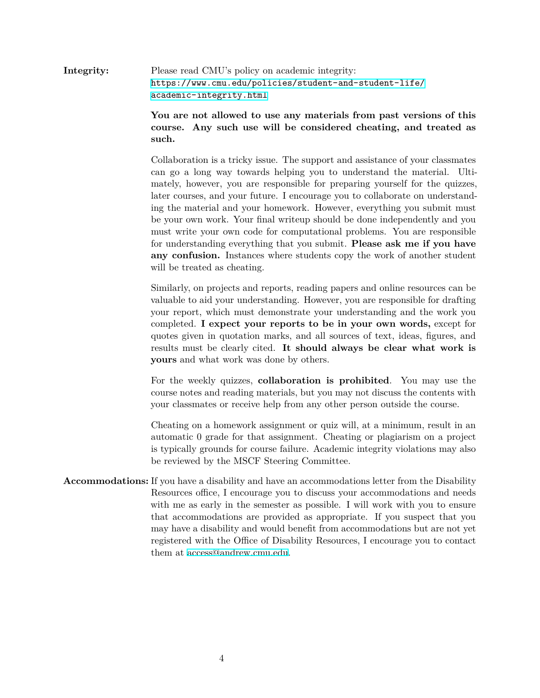**Integrity:** Please read CMU's policy on academic integrity: [https://www.cmu.edu/policies/student-and-student-life/](https://www.cmu.edu/policies/student-and-student-life/academic-integrity.html) [academic-integrity.html](https://www.cmu.edu/policies/student-and-student-life/academic-integrity.html)

> **You are not allowed to use any materials from past versions of this course. Any such use will be considered cheating, and treated as such.**

> Collaboration is a tricky issue. The support and assistance of your classmates can go a long way towards helping you to understand the material. Ultimately, however, you are responsible for preparing yourself for the quizzes, later courses, and your future. I encourage you to collaborate on understanding the material and your homework. However, everything you submit must be your own work. Your final writeup should be done independently and you must write your own code for computational problems. You are responsible for understanding everything that you submit. **Please ask me if you have any confusion.** Instances where students copy the work of another student will be treated as cheating.

> Similarly, on projects and reports, reading papers and online resources can be valuable to aid your understanding. However, you are responsible for drafting your report, which must demonstrate your understanding and the work you completed. **I expect your reports to be in your own words,** except for quotes given in quotation marks, and all sources of text, ideas, figures, and results must be clearly cited. **It should always be clear what work is yours** and what work was done by others.

> For the weekly quizzes, **collaboration is prohibited**. You may use the course notes and reading materials, but you may not discuss the contents with your classmates or receive help from any other person outside the course.

> Cheating on a homework assignment or quiz will, at a minimum, result in an automatic 0 grade for that assignment. Cheating or plagiarism on a project is typically grounds for course failure. Academic integrity violations may also be reviewed by the MSCF Steering Committee.

**Accommodations:** If you have a disability and have an accommodations letter from the Disability Resources office, I encourage you to discuss your accommodations and needs with me as early in the semester as possible. I will work with you to ensure that accommodations are provided as appropriate. If you suspect that you may have a disability and would benefit from accommodations but are not yet registered with the Office of Disability Resources, I encourage you to contact them at [access@andrew.cmu.edu.](mailto:access@andrew.cmu.edu)